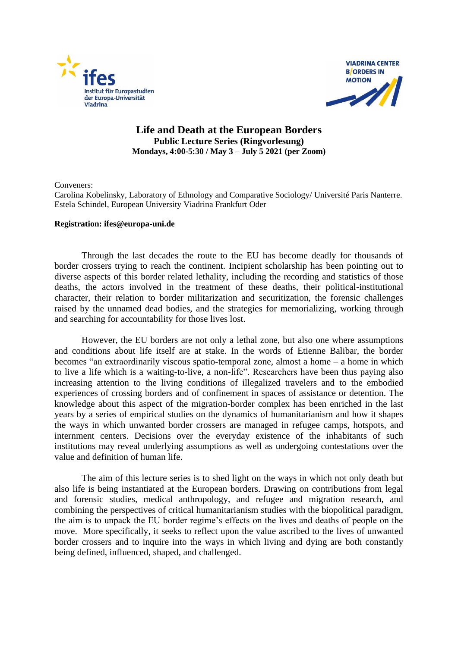



## **Life and Death at the European Borders Public Lecture Series (Ringvorlesung) Mondays, 4:00-5:30 / May 3 – July 5 2021 (per Zoom)**

Conveners:

Carolina Kobelinsky, Laboratory of Ethnology and Comparative Sociology/ Université Paris Nanterre. Estela Schindel, European University Viadrina Frankfurt Oder

## **Registration: ifes@europa-uni.de**

Through the last decades the route to the EU has become deadly for thousands of border crossers trying to reach the continent. Incipient scholarship has been pointing out to diverse aspects of this border related lethality, including the recording and statistics of those deaths, the actors involved in the treatment of these deaths, their political-institutional character, their relation to border militarization and securitization, the forensic challenges raised by the unnamed dead bodies, and the strategies for memorializing, working through and searching for accountability for those lives lost.

However, the EU borders are not only a lethal zone, but also one where assumptions and conditions about life itself are at stake. In the words of Etienne Balibar, the border becomes "an extraordinarily viscous spatio-temporal zone, almost a home – a home in which to live a life which is a waiting-to-live, a non-life". Researchers have been thus paying also increasing attention to the living conditions of illegalized travelers and to the embodied experiences of crossing borders and of confinement in spaces of assistance or detention. The knowledge about this aspect of the migration-border complex has been enriched in the last years by a series of empirical studies on the dynamics of humanitarianism and how it shapes the ways in which unwanted border crossers are managed in refugee camps, hotspots, and internment centers. Decisions over the everyday existence of the inhabitants of such institutions may reveal underlying assumptions as well as undergoing contestations over the value and definition of human life.

The aim of this lecture series is to shed light on the ways in which not only death but also life is being instantiated at the European borders. Drawing on contributions from legal and forensic studies, medical anthropology, and refugee and migration research, and combining the perspectives of critical humanitarianism studies with the biopolitical paradigm, the aim is to unpack the EU border regime's effects on the lives and deaths of people on the move. More specifically, it seeks to reflect upon the value ascribed to the lives of unwanted border crossers and to inquire into the ways in which living and dying are both constantly being defined, influenced, shaped, and challenged.